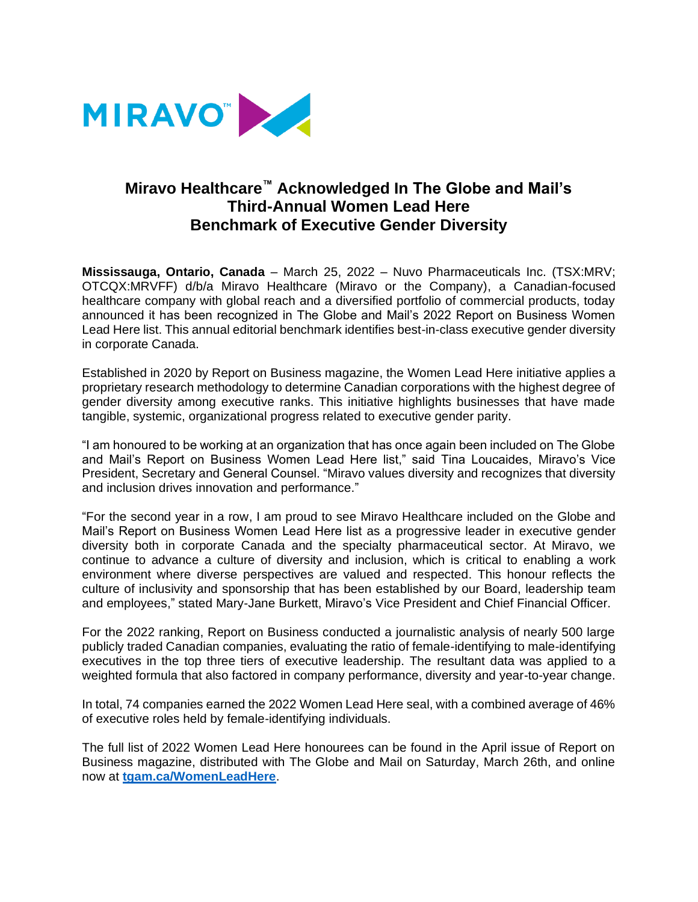

## **Miravo Healthcare™ Acknowledged In The Globe and Mail's Third-Annual Women Lead Here Benchmark of Executive Gender Diversity**

**Mississauga, Ontario, Canada** – March 25, 2022 – Nuvo Pharmaceuticals Inc. (TSX:MRV; OTCQX:MRVFF) d/b/a Miravo Healthcare (Miravo or the Company), a Canadian-focused healthcare company with global reach and a diversified portfolio of commercial products, today announced it has been recognized in The Globe and Mail's 2022 Report on Business Women Lead Here list. This annual editorial benchmark identifies best-in-class executive gender diversity in corporate Canada.

Established in 2020 by Report on Business magazine, the Women Lead Here initiative applies a proprietary research methodology to determine Canadian corporations with the highest degree of gender diversity among executive ranks. This initiative highlights businesses that have made tangible, systemic, organizational progress related to executive gender parity.

"I am honoured to be working at an organization that has once again been included on The Globe and Mail's Report on Business Women Lead Here list," said Tina Loucaides, Miravo's Vice President, Secretary and General Counsel. "Miravo values diversity and recognizes that diversity and inclusion drives innovation and performance."

"For the second year in a row, I am proud to see Miravo Healthcare included on the Globe and Mail's Report on Business Women Lead Here list as a progressive leader in executive gender diversity both in corporate Canada and the specialty pharmaceutical sector. At Miravo, we continue to advance a culture of diversity and inclusion, which is critical to enabling a work environment where diverse perspectives are valued and respected. This honour reflects the culture of inclusivity and sponsorship that has been established by our Board, leadership team and employees," stated Mary-Jane Burkett, Miravo's Vice President and Chief Financial Officer.

For the 2022 ranking, Report on Business conducted a journalistic analysis of nearly 500 large publicly traded Canadian companies, evaluating the ratio of female-identifying to male-identifying executives in the top three tiers of executive leadership. The resultant data was applied to a weighted formula that also factored in company performance, diversity and year-to-year change.

In total, 74 companies earned the 2022 Women Lead Here seal, with a combined average of 46% of executive roles held by female-identifying individuals.

The full list of 2022 Women Lead Here honourees can be found in the April issue of Report on Business magazine, distributed with The Globe and Mail on Saturday, March 26th, and online now at **[tgam.ca/WomenLeadHere](http://www.tgam.ca/WomenLeadHere)**.